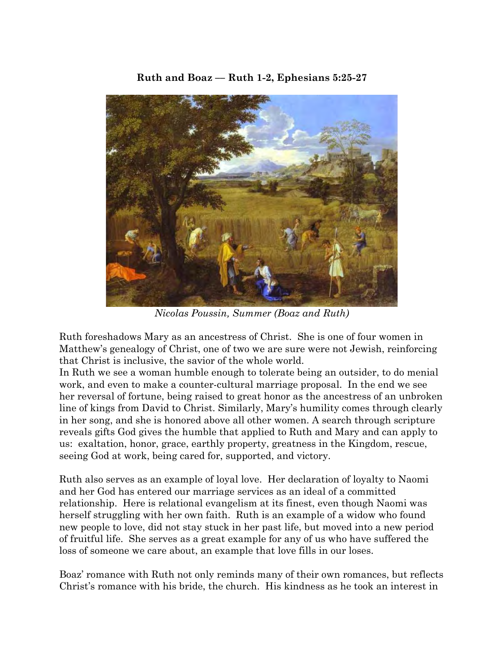## **Ruth and Boaz –– Ruth 1-2, Ephesians 5:25-27**



*Nicolas Poussin, Summer (Boaz and Ruth)*

Ruth foreshadows Mary as an ancestress of Christ. She is one of four women in Matthew's genealogy of Christ, one of two we are sure were not Jewish, reinforcing that Christ is inclusive, the savior of the whole world.

In Ruth we see a woman humble enough to tolerate being an outsider, to do menial work, and even to make a counter-cultural marriage proposal. In the end we see her reversal of fortune, being raised to great honor as the ancestress of an unbroken line of kings from David to Christ. Similarly, Mary's humility comes through clearly in her song, and she is honored above all other women. A search through scripture reveals gifts God gives the humble that applied to Ruth and Mary and can apply to us: exaltation, honor, grace, earthly property, greatness in the Kingdom, rescue, seeing God at work, being cared for, supported, and victory.

Ruth also serves as an example of loyal love. Her declaration of loyalty to Naomi and her God has entered our marriage services as an ideal of a committed relationship. Here is relational evangelism at its finest, even though Naomi was herself struggling with her own faith. Ruth is an example of a widow who found new people to love, did not stay stuck in her past life, but moved into a new period of fruitful life. She serves as a great example for any of us who have suffered the loss of someone we care about, an example that love fills in our loses.

Boaz' romance with Ruth not only reminds many of their own romances, but reflects Christ's romance with his bride, the church. His kindness as he took an interest in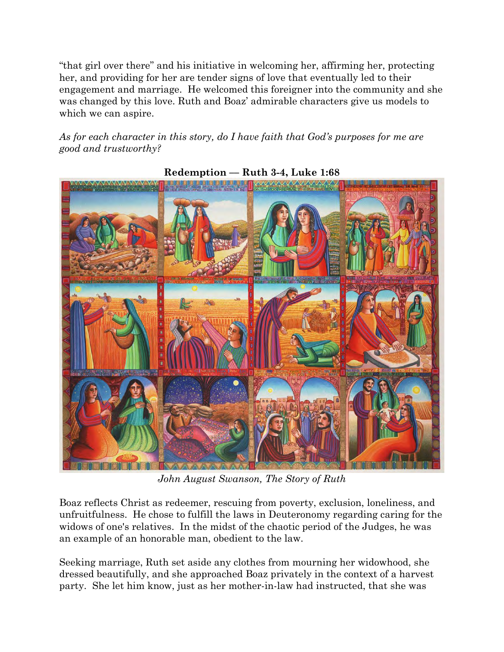"that girl over there" and his initiative in welcoming her, affirming her, protecting her, and providing for her are tender signs of love that eventually led to their engagement and marriage. He welcomed this foreigner into the community and she was changed by this love. Ruth and Boaz' admirable characters give us models to which we can aspire.

*As for each character in this story, do I have faith that God's purposes for me are good and trustworthy?*



**Redemption –– Ruth 3-4, Luke 1:68**

*John August Swanson, The Story of Ruth*

Boaz reflects Christ as redeemer, rescuing from poverty, exclusion, loneliness, and unfruitfulness. He chose to fulfill the laws in Deuteronomy regarding caring for the widows of one's relatives. In the midst of the chaotic period of the Judges, he was an example of an honorable man, obedient to the law.

Seeking marriage, Ruth set aside any clothes from mourning her widowhood, she dressed beautifully, and she approached Boaz privately in the context of a harvest party. She let him know, just as her mother-in-law had instructed, that she was